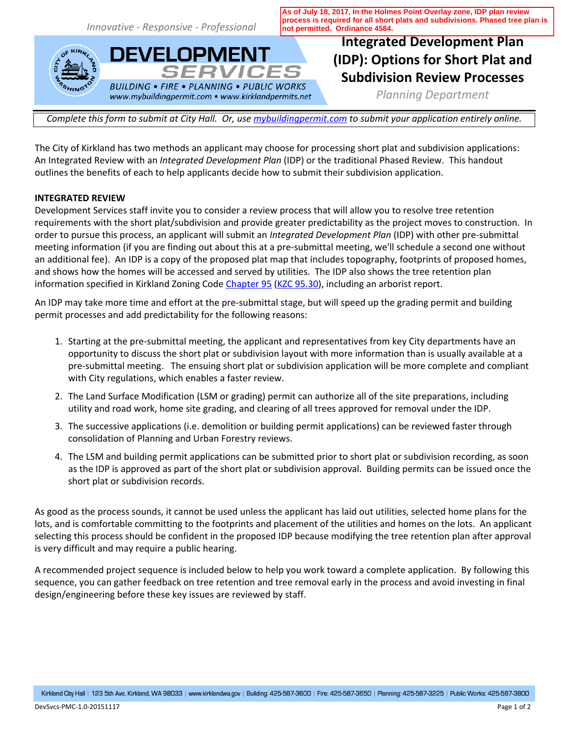*Innovative - Responsive - Professional*

**DEVELOPMENT** 

**BUILDING • FIRE • PLANNING • PUBLIC WORKS** www.mybuildingpermit.com • www.kirklandpermits.net

**SERVICES** 

**As of July 18, 2017, In the Holmes Point Overlay zone, IDP plan review process is required for all short plats and subdivisions. Phased tree plan is not permitted. Ordinance 4584.** 

# **Integrated Development Plan (IDP): Options for Short Plat and Subdivision Review Processes**

*Planning Department*

*Complete this form to submit at City Hall. Or, use [mybuildingpermit.com](http://mybuildingpermit.com) to submit your application entirely online.*

The City of Kirkland has two methods an applicant may choose for processing short plat and subdivision applications: An Integrated Review with an *Integrated Development Plan* (IDP) or the traditional Phased Review. This handout outlines the benefits of each to help applicants decide how to submit their subdivision application.

# **INTEGRATED REVIEW**

Development Services staff invite you to consider a review process that will allow you to resolve tree retention requirements with the short plat/subdivision and provide greater predictability as the project moves to construction. In order to pursue this process, an applicant will submit an *Integrated Development Plan* (IDP) with other pre-submittal meeting information (if you are finding out about this at a pre-submittal meeting, we'll schedule a second one without an additional fee). An IDP is a copy of the proposed plat map that includes topography, footprints of proposed homes, and shows how the homes will be accessed and served by utilities. The IDP also shows the tree retention plan information specified in Kirkland Zoning Code [Chapter 95](http://www.codepublishing.com/WA/Kirkland/html/KirklandZ95/KirklandZ95.html) [\(KZC 95.30\)](http://www.codepublishing.com/WA/Kirkland/html/KirklandZ95/KirklandZ95.html#95.30), including an arborist report.

An IDP may take more time and effort at the pre-submittal stage, but will speed up the grading permit and building permit processes and add predictability for the following reasons:

- 1. Starting at the pre-submittal meeting, the applicant and representatives from key City departments have an opportunity to discuss the short plat or subdivision layout with more information than is usually available at a pre-submittal meeting. The ensuing short plat or subdivision application will be more complete and compliant with City regulations, which enables a faster review.
- 2. The Land Surface Modification (LSM or grading) permit can authorize all of the site preparations, including utility and road work, home site grading, and clearing of all trees approved for removal under the IDP.
- 3. The successive applications (i.e. demolition or building permit applications) can be reviewed faster through consolidation of Planning and Urban Forestry reviews.
- 4. The LSM and building permit applications can be submitted prior to short plat or subdivision recording, as soon as the IDP is approved as part of the short plat or subdivision approval. Building permits can be issued once the short plat or subdivision records.

As good as the process sounds, it cannot be used unless the applicant has laid out utilities, selected home plans for the lots, and is comfortable committing to the footprints and placement of the utilities and homes on the lots. An applicant selecting this process should be confident in the proposed IDP because modifying the tree retention plan after approval is very difficult and may require a public hearing.

A recommended project sequence is included below to help you work toward a complete application. By following this sequence, you can gather feedback on tree retention and tree removal early in the process and avoid investing in final design/engineering before these key issues are reviewed by staff.